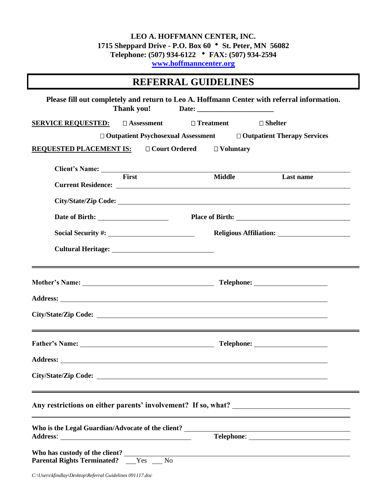#### **LEO A. HOFFMANN CENTER, INC. 1715 Sheppard Drive - P.O. Box 60 St. Peter, MN 56082 Telephone: (507) 934-6122 FAX: (507) 934-2594 [www.hoffmanncenter.org](http://www.hoffmanncenter.org/)**

| <b>REFERRAL GUIDELINES</b>                                                                               |                  |                   |  |  |
|----------------------------------------------------------------------------------------------------------|------------------|-------------------|--|--|
| Please fill out completely and return to Leo A. Hoffmann Center with referral information.<br>Thank you! |                  |                   |  |  |
| SERVICE REQUESTED: □ Assessment                                                                          | $\Box$ Treatment | $\square$ Shelter |  |  |
| $\Box$ Outpatient Psychosexual Assessment $\Box$ Outpatient Therapy Services                             |                  |                   |  |  |
| REQUESTED PLACEMENT IS: $\Box$ Court Ordered $\Box$ Voluntary                                            |                  |                   |  |  |
|                                                                                                          |                  |                   |  |  |
| <b>First</b>                                                                                             | <b>Middle</b>    | Last name         |  |  |
|                                                                                                          |                  |                   |  |  |
|                                                                                                          |                  |                   |  |  |
|                                                                                                          |                  |                   |  |  |
|                                                                                                          |                  |                   |  |  |
|                                                                                                          |                  |                   |  |  |
|                                                                                                          |                  |                   |  |  |
|                                                                                                          |                  |                   |  |  |
|                                                                                                          |                  |                   |  |  |
| <u> 1988 - Andrea Andrew Maria (h. 1988).</u><br>2001 - Maria Garristo, frantziar martxartean (h. 1988). |                  |                   |  |  |
|                                                                                                          |                  |                   |  |  |
| Address: <u>New York: Address:</u> New York: 1997                                                        |                  |                   |  |  |
|                                                                                                          |                  |                   |  |  |
|                                                                                                          |                  |                   |  |  |
|                                                                                                          |                  |                   |  |  |
|                                                                                                          |                  |                   |  |  |
|                                                                                                          |                  |                   |  |  |
| <b>Parental Rights Terminated?</b> _____Yes _____No                                                      |                  |                   |  |  |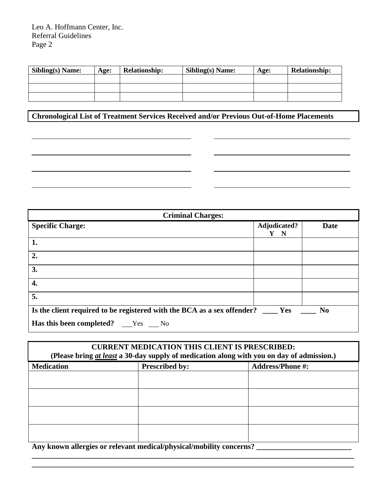| <b>Sibling(s) Name:</b> | Age: | <b>Relationship:</b> | <b>Sibling(s) Name:</b> | Age: | <b>Relationship:</b> |
|-------------------------|------|----------------------|-------------------------|------|----------------------|
|                         |      |                      |                         |      |                      |
|                         |      |                      |                         |      |                      |
|                         |      |                      |                         |      |                      |

**Chronological List of Treatment Services Received and/or Previous Out-of-Home Placements** 

<u> 1989 - Johann Barn, mars ann an t-Amhain Aonaich an t-Aonaich an t-Aonaich ann an t-Aonaich ann an t-Aonaich</u>

<u> 1980 - Johann Barbara, martin amerikan basar dan basar dalam basar dalam basar dalam basar dalam basar dalam</u>

<u> 1989 - Johann Barn, fransk politik (f. 1989)</u>

| <b>Criminal Charges:</b>                                                         |                                  |                |  |
|----------------------------------------------------------------------------------|----------------------------------|----------------|--|
| <b>Specific Charge:</b>                                                          | Adjudicated?<br>$\mathbf N$<br>Y | <b>Date</b>    |  |
| 1.                                                                               |                                  |                |  |
| 2.                                                                               |                                  |                |  |
| 3.                                                                               |                                  |                |  |
| 4.                                                                               |                                  |                |  |
| 5.                                                                               |                                  |                |  |
| Is the client required to be registered with the BCA as a sex offender? ____ Yes |                                  | N <sub>0</sub> |  |
| <b>Has this been completed?</b> ___Yes ___No                                     |                                  |                |  |

| <b>CURRENT MEDICATION THIS CLIENT IS PRESCRIBED:</b><br>(Please bring at least a 30-day supply of medication along with you on day of admission.) |                       |                         |  |
|---------------------------------------------------------------------------------------------------------------------------------------------------|-----------------------|-------------------------|--|
| <b>Medication</b>                                                                                                                                 | <b>Prescribed by:</b> | <b>Address/Phone #:</b> |  |
|                                                                                                                                                   |                       |                         |  |
|                                                                                                                                                   |                       |                         |  |
|                                                                                                                                                   |                       |                         |  |
|                                                                                                                                                   |                       |                         |  |

**\_\_\_\_\_\_\_\_\_\_\_\_\_\_\_\_\_\_\_\_\_\_\_\_\_\_\_\_\_\_\_\_\_\_\_\_\_\_\_\_\_\_\_\_\_\_\_\_\_\_\_\_\_\_\_\_\_\_\_\_\_\_\_\_\_\_\_\_\_\_\_\_\_\_\_\_\_\_\_\_\_\_\_\_\_ \_\_\_\_\_\_\_\_\_\_\_\_\_\_\_\_\_\_\_\_\_\_\_\_\_\_\_\_\_\_\_\_\_\_\_\_\_\_\_\_\_\_\_\_\_\_\_\_\_\_\_\_\_\_\_\_\_\_\_\_\_\_\_\_\_\_\_\_\_\_\_\_\_\_\_\_\_\_\_\_\_\_\_\_\_**

**Any known allergies or relevant medical/physical/mobility concerns? \_\_\_\_\_\_\_\_\_\_\_\_\_\_\_\_\_\_\_\_\_\_\_\_\_**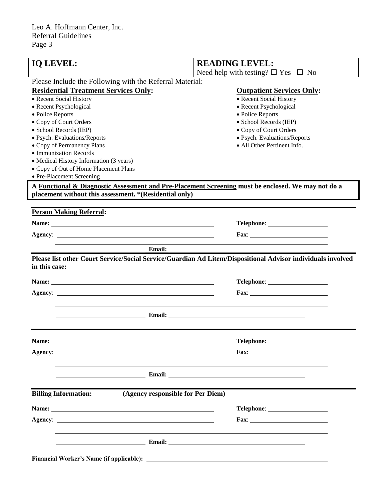| Need help with testing? $\square$ Yes $\square$ No<br>Please Include the Following with the Referral Material:<br><b>Residential Treatment Services Only:</b><br><b>Outpatient Services Only:</b><br>• Recent Social History<br>• Recent Social History<br>• Recent Psychological<br>• Recent Psychological<br>· Police Reports<br>• Police Reports<br>• Copy of Court Orders<br>• School Records (IEP)<br>· School Records (IEP)<br>• Copy of Court Orders<br>· Psych. Evaluations/Reports<br>· Psych. Evaluations/Reports<br>• All Other Pertinent Info.<br>• Copy of Permanency Plans<br>• Immunization Records<br>• Medical History Information (3 years)<br>• Copy of Out of Home Placement Plans<br>• Pre-Placement Screening<br>A Functional & Diagnostic Assessment and Pre-Placement Screening must be enclosed. We may not do a<br>placement without this assessment. *(Residential only)<br><b>Person Making Referral:</b><br>Fax: $\frac{1}{\sqrt{1-\frac{1}{2}}\sqrt{1-\frac{1}{2}}\sqrt{1-\frac{1}{2}}\sqrt{1-\frac{1}{2}}\sqrt{1-\frac{1}{2}}\sqrt{1-\frac{1}{2}}\sqrt{1-\frac{1}{2}}\sqrt{1-\frac{1}{2}}\sqrt{1-\frac{1}{2}}\sqrt{1-\frac{1}{2}}\sqrt{1-\frac{1}{2}}\sqrt{1-\frac{1}{2}}\sqrt{1-\frac{1}{2}}\sqrt{1-\frac{1}{2}}\sqrt{1-\frac{1}{2}}\sqrt{1-\frac{1}{2}}\sqrt{1-\frac{1}{2}}\sqrt{1-\frac{1}{2}}\sqrt{1-\frac{1}{2}}\$<br><b>Email:</b><br>Please list other Court Service/Social Service/Guardian Ad Litem/Dispositional Advisor individuals involved<br>in this case:<br><u>Email: Email: Email: Email: Email: Email: Email: Email: Email: Email: Email: Email: Email: Email: Email: Email: Email: Email: Email: Email: Email: Email: Email: Email: Email: Email: Email: Email: Email: Email: Email: Emai</u><br>(Agency responsible for Per Diem)<br><b>Billing Information:</b><br>Name: 2008. 2008. 2010. 2010. 2010. 2010. 2010. 2010. 2010. 2010. 2010. 2010. 2010. 2010. 2010. 2010. 2010. 20<br><u>Email: Email: Email: Email: Email: Email: Email: Email: Email: Email: Email: Email: Email: Email: Email: Email: Email: Email: Email: Email: Email: Email: Email: Email: Email: Email: Email: Email: Email: Email: Email: Emai</u> | <b>IQ LEVEL:</b> | <b>READING LEVEL:</b> |
|-------------------------------------------------------------------------------------------------------------------------------------------------------------------------------------------------------------------------------------------------------------------------------------------------------------------------------------------------------------------------------------------------------------------------------------------------------------------------------------------------------------------------------------------------------------------------------------------------------------------------------------------------------------------------------------------------------------------------------------------------------------------------------------------------------------------------------------------------------------------------------------------------------------------------------------------------------------------------------------------------------------------------------------------------------------------------------------------------------------------------------------------------------------------------------------------------------------------------------------------------------------------------------------------------------------------------------------------------------------------------------------------------------------------------------------------------------------------------------------------------------------------------------------------------------------------------------------------------------------------------------------------------------------------------------------------------------------------------------------------------------------------------------------------------------------------------------------------------------------------------------------------------------------------------------------------------------------------------------------------------------------------------------------------------------------------------------------------------------------------------------------------------------------------------------|------------------|-----------------------|
|                                                                                                                                                                                                                                                                                                                                                                                                                                                                                                                                                                                                                                                                                                                                                                                                                                                                                                                                                                                                                                                                                                                                                                                                                                                                                                                                                                                                                                                                                                                                                                                                                                                                                                                                                                                                                                                                                                                                                                                                                                                                                                                                                                               |                  |                       |
|                                                                                                                                                                                                                                                                                                                                                                                                                                                                                                                                                                                                                                                                                                                                                                                                                                                                                                                                                                                                                                                                                                                                                                                                                                                                                                                                                                                                                                                                                                                                                                                                                                                                                                                                                                                                                                                                                                                                                                                                                                                                                                                                                                               |                  |                       |
|                                                                                                                                                                                                                                                                                                                                                                                                                                                                                                                                                                                                                                                                                                                                                                                                                                                                                                                                                                                                                                                                                                                                                                                                                                                                                                                                                                                                                                                                                                                                                                                                                                                                                                                                                                                                                                                                                                                                                                                                                                                                                                                                                                               |                  |                       |
|                                                                                                                                                                                                                                                                                                                                                                                                                                                                                                                                                                                                                                                                                                                                                                                                                                                                                                                                                                                                                                                                                                                                                                                                                                                                                                                                                                                                                                                                                                                                                                                                                                                                                                                                                                                                                                                                                                                                                                                                                                                                                                                                                                               |                  |                       |
|                                                                                                                                                                                                                                                                                                                                                                                                                                                                                                                                                                                                                                                                                                                                                                                                                                                                                                                                                                                                                                                                                                                                                                                                                                                                                                                                                                                                                                                                                                                                                                                                                                                                                                                                                                                                                                                                                                                                                                                                                                                                                                                                                                               |                  |                       |
|                                                                                                                                                                                                                                                                                                                                                                                                                                                                                                                                                                                                                                                                                                                                                                                                                                                                                                                                                                                                                                                                                                                                                                                                                                                                                                                                                                                                                                                                                                                                                                                                                                                                                                                                                                                                                                                                                                                                                                                                                                                                                                                                                                               |                  |                       |
|                                                                                                                                                                                                                                                                                                                                                                                                                                                                                                                                                                                                                                                                                                                                                                                                                                                                                                                                                                                                                                                                                                                                                                                                                                                                                                                                                                                                                                                                                                                                                                                                                                                                                                                                                                                                                                                                                                                                                                                                                                                                                                                                                                               |                  |                       |
|                                                                                                                                                                                                                                                                                                                                                                                                                                                                                                                                                                                                                                                                                                                                                                                                                                                                                                                                                                                                                                                                                                                                                                                                                                                                                                                                                                                                                                                                                                                                                                                                                                                                                                                                                                                                                                                                                                                                                                                                                                                                                                                                                                               |                  |                       |
|                                                                                                                                                                                                                                                                                                                                                                                                                                                                                                                                                                                                                                                                                                                                                                                                                                                                                                                                                                                                                                                                                                                                                                                                                                                                                                                                                                                                                                                                                                                                                                                                                                                                                                                                                                                                                                                                                                                                                                                                                                                                                                                                                                               |                  |                       |
|                                                                                                                                                                                                                                                                                                                                                                                                                                                                                                                                                                                                                                                                                                                                                                                                                                                                                                                                                                                                                                                                                                                                                                                                                                                                                                                                                                                                                                                                                                                                                                                                                                                                                                                                                                                                                                                                                                                                                                                                                                                                                                                                                                               |                  |                       |
|                                                                                                                                                                                                                                                                                                                                                                                                                                                                                                                                                                                                                                                                                                                                                                                                                                                                                                                                                                                                                                                                                                                                                                                                                                                                                                                                                                                                                                                                                                                                                                                                                                                                                                                                                                                                                                                                                                                                                                                                                                                                                                                                                                               |                  |                       |
|                                                                                                                                                                                                                                                                                                                                                                                                                                                                                                                                                                                                                                                                                                                                                                                                                                                                                                                                                                                                                                                                                                                                                                                                                                                                                                                                                                                                                                                                                                                                                                                                                                                                                                                                                                                                                                                                                                                                                                                                                                                                                                                                                                               |                  |                       |
|                                                                                                                                                                                                                                                                                                                                                                                                                                                                                                                                                                                                                                                                                                                                                                                                                                                                                                                                                                                                                                                                                                                                                                                                                                                                                                                                                                                                                                                                                                                                                                                                                                                                                                                                                                                                                                                                                                                                                                                                                                                                                                                                                                               |                  |                       |
|                                                                                                                                                                                                                                                                                                                                                                                                                                                                                                                                                                                                                                                                                                                                                                                                                                                                                                                                                                                                                                                                                                                                                                                                                                                                                                                                                                                                                                                                                                                                                                                                                                                                                                                                                                                                                                                                                                                                                                                                                                                                                                                                                                               |                  |                       |
|                                                                                                                                                                                                                                                                                                                                                                                                                                                                                                                                                                                                                                                                                                                                                                                                                                                                                                                                                                                                                                                                                                                                                                                                                                                                                                                                                                                                                                                                                                                                                                                                                                                                                                                                                                                                                                                                                                                                                                                                                                                                                                                                                                               |                  |                       |
|                                                                                                                                                                                                                                                                                                                                                                                                                                                                                                                                                                                                                                                                                                                                                                                                                                                                                                                                                                                                                                                                                                                                                                                                                                                                                                                                                                                                                                                                                                                                                                                                                                                                                                                                                                                                                                                                                                                                                                                                                                                                                                                                                                               |                  |                       |
|                                                                                                                                                                                                                                                                                                                                                                                                                                                                                                                                                                                                                                                                                                                                                                                                                                                                                                                                                                                                                                                                                                                                                                                                                                                                                                                                                                                                                                                                                                                                                                                                                                                                                                                                                                                                                                                                                                                                                                                                                                                                                                                                                                               |                  |                       |
|                                                                                                                                                                                                                                                                                                                                                                                                                                                                                                                                                                                                                                                                                                                                                                                                                                                                                                                                                                                                                                                                                                                                                                                                                                                                                                                                                                                                                                                                                                                                                                                                                                                                                                                                                                                                                                                                                                                                                                                                                                                                                                                                                                               |                  |                       |
|                                                                                                                                                                                                                                                                                                                                                                                                                                                                                                                                                                                                                                                                                                                                                                                                                                                                                                                                                                                                                                                                                                                                                                                                                                                                                                                                                                                                                                                                                                                                                                                                                                                                                                                                                                                                                                                                                                                                                                                                                                                                                                                                                                               |                  |                       |
|                                                                                                                                                                                                                                                                                                                                                                                                                                                                                                                                                                                                                                                                                                                                                                                                                                                                                                                                                                                                                                                                                                                                                                                                                                                                                                                                                                                                                                                                                                                                                                                                                                                                                                                                                                                                                                                                                                                                                                                                                                                                                                                                                                               |                  |                       |
|                                                                                                                                                                                                                                                                                                                                                                                                                                                                                                                                                                                                                                                                                                                                                                                                                                                                                                                                                                                                                                                                                                                                                                                                                                                                                                                                                                                                                                                                                                                                                                                                                                                                                                                                                                                                                                                                                                                                                                                                                                                                                                                                                                               |                  |                       |
|                                                                                                                                                                                                                                                                                                                                                                                                                                                                                                                                                                                                                                                                                                                                                                                                                                                                                                                                                                                                                                                                                                                                                                                                                                                                                                                                                                                                                                                                                                                                                                                                                                                                                                                                                                                                                                                                                                                                                                                                                                                                                                                                                                               |                  |                       |
|                                                                                                                                                                                                                                                                                                                                                                                                                                                                                                                                                                                                                                                                                                                                                                                                                                                                                                                                                                                                                                                                                                                                                                                                                                                                                                                                                                                                                                                                                                                                                                                                                                                                                                                                                                                                                                                                                                                                                                                                                                                                                                                                                                               |                  |                       |
|                                                                                                                                                                                                                                                                                                                                                                                                                                                                                                                                                                                                                                                                                                                                                                                                                                                                                                                                                                                                                                                                                                                                                                                                                                                                                                                                                                                                                                                                                                                                                                                                                                                                                                                                                                                                                                                                                                                                                                                                                                                                                                                                                                               |                  |                       |
|                                                                                                                                                                                                                                                                                                                                                                                                                                                                                                                                                                                                                                                                                                                                                                                                                                                                                                                                                                                                                                                                                                                                                                                                                                                                                                                                                                                                                                                                                                                                                                                                                                                                                                                                                                                                                                                                                                                                                                                                                                                                                                                                                                               |                  |                       |
|                                                                                                                                                                                                                                                                                                                                                                                                                                                                                                                                                                                                                                                                                                                                                                                                                                                                                                                                                                                                                                                                                                                                                                                                                                                                                                                                                                                                                                                                                                                                                                                                                                                                                                                                                                                                                                                                                                                                                                                                                                                                                                                                                                               |                  |                       |
|                                                                                                                                                                                                                                                                                                                                                                                                                                                                                                                                                                                                                                                                                                                                                                                                                                                                                                                                                                                                                                                                                                                                                                                                                                                                                                                                                                                                                                                                                                                                                                                                                                                                                                                                                                                                                                                                                                                                                                                                                                                                                                                                                                               |                  |                       |
|                                                                                                                                                                                                                                                                                                                                                                                                                                                                                                                                                                                                                                                                                                                                                                                                                                                                                                                                                                                                                                                                                                                                                                                                                                                                                                                                                                                                                                                                                                                                                                                                                                                                                                                                                                                                                                                                                                                                                                                                                                                                                                                                                                               |                  |                       |
|                                                                                                                                                                                                                                                                                                                                                                                                                                                                                                                                                                                                                                                                                                                                                                                                                                                                                                                                                                                                                                                                                                                                                                                                                                                                                                                                                                                                                                                                                                                                                                                                                                                                                                                                                                                                                                                                                                                                                                                                                                                                                                                                                                               |                  |                       |
|                                                                                                                                                                                                                                                                                                                                                                                                                                                                                                                                                                                                                                                                                                                                                                                                                                                                                                                                                                                                                                                                                                                                                                                                                                                                                                                                                                                                                                                                                                                                                                                                                                                                                                                                                                                                                                                                                                                                                                                                                                                                                                                                                                               |                  |                       |
|                                                                                                                                                                                                                                                                                                                                                                                                                                                                                                                                                                                                                                                                                                                                                                                                                                                                                                                                                                                                                                                                                                                                                                                                                                                                                                                                                                                                                                                                                                                                                                                                                                                                                                                                                                                                                                                                                                                                                                                                                                                                                                                                                                               |                  |                       |
|                                                                                                                                                                                                                                                                                                                                                                                                                                                                                                                                                                                                                                                                                                                                                                                                                                                                                                                                                                                                                                                                                                                                                                                                                                                                                                                                                                                                                                                                                                                                                                                                                                                                                                                                                                                                                                                                                                                                                                                                                                                                                                                                                                               |                  |                       |
|                                                                                                                                                                                                                                                                                                                                                                                                                                                                                                                                                                                                                                                                                                                                                                                                                                                                                                                                                                                                                                                                                                                                                                                                                                                                                                                                                                                                                                                                                                                                                                                                                                                                                                                                                                                                                                                                                                                                                                                                                                                                                                                                                                               |                  |                       |
|                                                                                                                                                                                                                                                                                                                                                                                                                                                                                                                                                                                                                                                                                                                                                                                                                                                                                                                                                                                                                                                                                                                                                                                                                                                                                                                                                                                                                                                                                                                                                                                                                                                                                                                                                                                                                                                                                                                                                                                                                                                                                                                                                                               |                  |                       |
|                                                                                                                                                                                                                                                                                                                                                                                                                                                                                                                                                                                                                                                                                                                                                                                                                                                                                                                                                                                                                                                                                                                                                                                                                                                                                                                                                                                                                                                                                                                                                                                                                                                                                                                                                                                                                                                                                                                                                                                                                                                                                                                                                                               |                  |                       |
|                                                                                                                                                                                                                                                                                                                                                                                                                                                                                                                                                                                                                                                                                                                                                                                                                                                                                                                                                                                                                                                                                                                                                                                                                                                                                                                                                                                                                                                                                                                                                                                                                                                                                                                                                                                                                                                                                                                                                                                                                                                                                                                                                                               |                  |                       |
|                                                                                                                                                                                                                                                                                                                                                                                                                                                                                                                                                                                                                                                                                                                                                                                                                                                                                                                                                                                                                                                                                                                                                                                                                                                                                                                                                                                                                                                                                                                                                                                                                                                                                                                                                                                                                                                                                                                                                                                                                                                                                                                                                                               |                  |                       |
|                                                                                                                                                                                                                                                                                                                                                                                                                                                                                                                                                                                                                                                                                                                                                                                                                                                                                                                                                                                                                                                                                                                                                                                                                                                                                                                                                                                                                                                                                                                                                                                                                                                                                                                                                                                                                                                                                                                                                                                                                                                                                                                                                                               |                  |                       |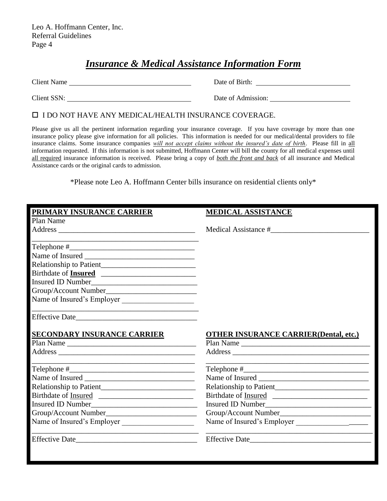## *Insurance & Medical Assistance Information Form*

Client Name Date of Birth:

Client SSN: Date of Admission:

I DO NOT HAVE ANY MEDICAL/HEALTH INSURANCE COVERAGE.

Please give us all the pertinent information regarding your insurance coverage. If you have coverage by more than one insurance policy please give information for all policies. This information is needed for our medical/dental providers to file insurance claims. Some insurance companies *will not accept claims without the insured's date of birth*. Please fill in all information requested. If this information is not submitted, Hoffmann Center will bill the county for all medical expenses until all required insurance information is received. Please bring a copy of *both the front and back* of all insurance and Medical Assistance cards or the original cards to admission.

\*Please note Leo A. Hoffmann Center bills insurance on residential clients only\*

| PRIMARY INSURANCE CARRIER   | <b>MEDICAL ASSISTANCE</b>                     |
|-----------------------------|-----------------------------------------------|
| Plan Name                   |                                               |
|                             | Medical Assistance #                          |
|                             |                                               |
|                             |                                               |
|                             |                                               |
| Birthdate of <b>Insured</b> |                                               |
|                             |                                               |
|                             |                                               |
| Name of Insured's Employer  |                                               |
|                             |                                               |
| SECONDARY INSURANCE CARRIER | <b>OTHER INSURANCE CARRIER (Dental, etc.)</b> |
| Plan Name                   | Plan Name                                     |
|                             |                                               |
|                             |                                               |
|                             |                                               |
|                             |                                               |
|                             |                                               |
|                             |                                               |
|                             |                                               |
| Name of Insured's Employer  | Name of Insured's Employer                    |
| Effective Date              | Effective Date                                |
|                             |                                               |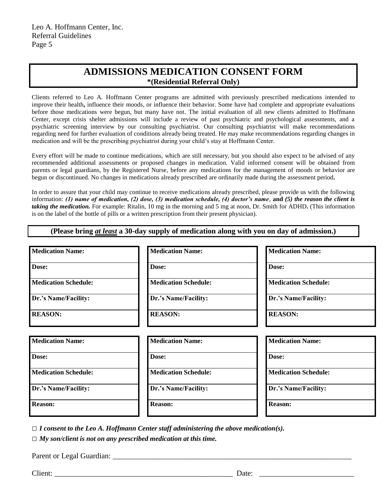### **ADMISSIONS MEDICATION CONSENT FORM \*(Residential Referral Only)**

Clients referred to Leo A. Hoffmann Center programs are admitted with previously prescribed medications intended to improve their health**,** influence their moods, or influence their behavior. Some have had complete and appropriate evaluations before those medications were begun, but many have not. The initial evaluation of all new clients admitted to Hoffmann Center, except crisis shelter admissions will include a review of past psychiatric and psychological assessments, and a psychiatric screening interview by our consulting psychiatrist. Our consulting psychiatrist will make recommendations regarding need for further evaluation of conditions already being treated. He may make recommendations regarding changes in medication and will be the prescribing psychiatrist during your child's stay at Hoffmann Center.

Every effort will be made to continue medications, which are still necessary, but you should also expect to be advised of any recommended additional assessments or proposed changes in medication. Valid informed consent will be obtained from parents or legal guardians, by the Registered Nurse, before any medications for the management of moods or behavior are begun or discontinued. No changes in medications already prescribed are ordinarily made during the assessment period**.**

In order to assure that your child may continue to receive medications already prescribed, please provide us with the following information: *(1) name of medication, (2) dose, (3) medication schedule, (4) doctor's name*, **and** *(5) the reason the client is taking the medication.* For example: Ritalin, 10 mg in the morning and 5 mg at noon, Dr. Smith for ADHD**.** (This information is on the label of the bottle of pills or a written prescription from their present physician).

**(Please bring** *at least* **a 30-day supply of medication along with you on day of admission.)**

| <b>Medication Name:</b>     | <b>Medication Name:</b>     | <b>Medication Name:</b>     |
|-----------------------------|-----------------------------|-----------------------------|
| Dose:                       | Dose:                       | Dose:                       |
| <b>Medication Schedule:</b> | <b>Medication Schedule:</b> | <b>Medication Schedule:</b> |
| Dr.'s Name/Facility:        | Dr.'s Name/Facility:        | Dr.'s Name/Facility:        |
| <b>REASON:</b>              | <b>REASON:</b>              | <b>REASON:</b>              |
|                             |                             |                             |
| <b>Medication Name:</b>     | <b>Medication Name:</b>     | <b>Medication Name:</b>     |
| Dose:                       | Dose:                       | Dose:                       |
| <b>Medication Schedule:</b> | <b>Medication Schedule:</b> | <b>Medication Schedule:</b> |
|                             |                             |                             |
| Dr.'s Name/Facility:        | Dr.'s Name/Facility:        | Dr.'s Name/Facility:        |

*□ I consent to the Leo A. Hoffmann Center staff administering the above medication(s).*

*□ My son/client is not on any prescribed medication at this time.*

Parent or Legal Guardian:

Client: \_\_\_\_\_\_\_\_\_\_\_\_\_\_\_\_\_\_\_\_\_\_\_\_\_\_\_\_\_\_\_\_\_\_\_\_\_\_\_\_\_\_\_\_\_\_\_ Date: \_\_\_\_\_\_\_\_\_\_\_\_\_\_\_\_\_\_\_\_\_\_\_\_\_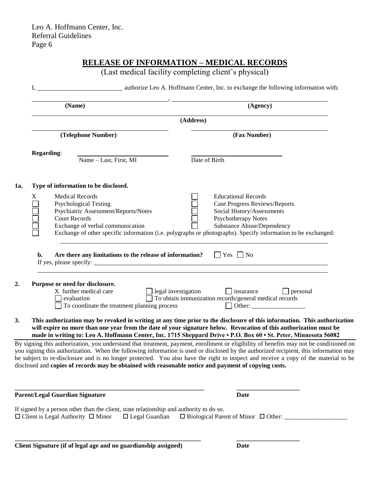|                    |                                                                                                                                                                   | (Last medical facility completing client's physical)                                                                                                                                                                                                                                                                                                                                                                   |
|--------------------|-------------------------------------------------------------------------------------------------------------------------------------------------------------------|------------------------------------------------------------------------------------------------------------------------------------------------------------------------------------------------------------------------------------------------------------------------------------------------------------------------------------------------------------------------------------------------------------------------|
|                    | (Name)                                                                                                                                                            | (Agency)                                                                                                                                                                                                                                                                                                                                                                                                               |
|                    |                                                                                                                                                                   | (Address)                                                                                                                                                                                                                                                                                                                                                                                                              |
| (Telephone Number) |                                                                                                                                                                   | (Fax Number)                                                                                                                                                                                                                                                                                                                                                                                                           |
|                    | <b>Regarding:</b>                                                                                                                                                 |                                                                                                                                                                                                                                                                                                                                                                                                                        |
|                    | Name - Last, First, MI                                                                                                                                            | Date of Birth                                                                                                                                                                                                                                                                                                                                                                                                          |
| 1a.                | Type of information to be disclosed.                                                                                                                              |                                                                                                                                                                                                                                                                                                                                                                                                                        |
|                    | X<br><b>Medical Records</b><br><b>Psychological Testing</b><br>Psychiatric Assessment/Reports/Notes<br><b>Court Records</b><br>Exchange of verbal communication   | <b>Educational Records</b><br>Case Progress Reviews/Reports<br>Social History/Assessments<br>Psychotherapy Notes<br>Substance Abuse/Dependency<br>Exchange of other specific information (i.e. polygraphs or photographs). Specify information to be exchanged:                                                                                                                                                        |
| 2.                 | Are there any limitations to the release of information? $\Box$ Yes $\Box$ No<br>b.<br>Purpose or need for disclosure.<br>X further medical care                  |                                                                                                                                                                                                                                                                                                                                                                                                                        |
|                    | evaluation<br>To coordinate the treatment planning process                                                                                                        | $\Box$ legal investigation $\Box$ insurance $\Box$ personal<br>$\Box$ To obtain immunization records/general medical records<br>Other: $\qquad \qquad$ Other:                                                                                                                                                                                                                                                          |
| 3.                 |                                                                                                                                                                   | This authorization may be revoked in writing at any time prior to the disclosure of this information. This authorization<br>will expire no more than one year from the date of your signature below. Revocation of this authorization must be<br>made in writing to: Leo A. Hoffmann Center, Inc. 1715 Sheppard Drive • P.O. Box 60 • St. Peter, Minnesota 56082                                                       |
|                    | disclosed and copies of records may be obtained with reasonable notice and payment of copying costs.                                                              | By signing this authorization, you understand that treatment, payment, enrollment or eligibility of benefits may not be conditioned on<br>you signing this authorization. When the following information is used or disclosed by the authorized recipient, this information may<br>be subject to re-disclosure and is no longer protected. You also have the right to inspect and receive a copy of the material to be |
|                    | <b>Parent/Legal Guardian Signature</b>                                                                                                                            | Date                                                                                                                                                                                                                                                                                                                                                                                                                   |
|                    | If signed by a person other than the client, state relationship and authority to do so.<br>$\Box$ Client is Legal Authority $\Box$ Minor<br>$\Box$ Legal Guardian | $\Box$ Biological Parent of Minor $\Box$ Other:                                                                                                                                                                                                                                                                                                                                                                        |
|                    | Client Signature (if of legal age and no guardianship assigned)                                                                                                   | <b>Date</b>                                                                                                                                                                                                                                                                                                                                                                                                            |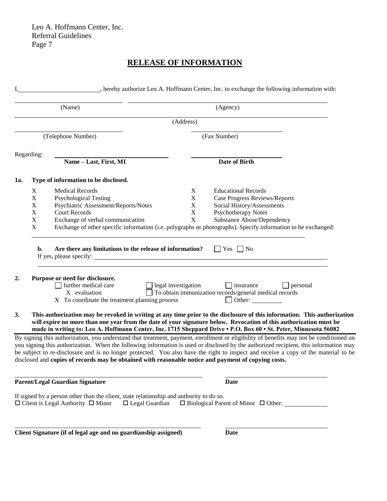#### **RELEASE OF INFORMATION**

|           |             | (Name)                                                                                               |                     | (Agency)                                                                                                                                                                                                                                                                                                                                                         |
|-----------|-------------|------------------------------------------------------------------------------------------------------|---------------------|------------------------------------------------------------------------------------------------------------------------------------------------------------------------------------------------------------------------------------------------------------------------------------------------------------------------------------------------------------------|
|           |             |                                                                                                      | (Address)           |                                                                                                                                                                                                                                                                                                                                                                  |
|           |             | (Telephone Number)                                                                                   |                     | (Fax Number)                                                                                                                                                                                                                                                                                                                                                     |
|           | Regarding:  |                                                                                                      |                     |                                                                                                                                                                                                                                                                                                                                                                  |
|           |             | Name - Last, First, MI                                                                               |                     | <b>Date of Birth</b>                                                                                                                                                                                                                                                                                                                                             |
| 1a.       |             | Type of information to be disclosed.                                                                 |                     |                                                                                                                                                                                                                                                                                                                                                                  |
|           | X           | <b>Medical Records</b>                                                                               | X                   | <b>Educational Records</b>                                                                                                                                                                                                                                                                                                                                       |
|           | $\mathbf X$ | <b>Psychological Testing</b>                                                                         | $\mathbf X$         | <b>Case Progress Reviews/Reports</b>                                                                                                                                                                                                                                                                                                                             |
|           | X           | Psychiatric Assessment/Reports/Notes                                                                 | $\mathbf X$         | Social History/Assessments                                                                                                                                                                                                                                                                                                                                       |
|           | X           | <b>Court Records</b>                                                                                 | $\mathbf X$         | <b>Psychotherapy Notes</b>                                                                                                                                                                                                                                                                                                                                       |
|           | $\mathbf X$ | Exchange of verbal communication                                                                     | $\mathbf X$         | Substance Abuse/Dependency                                                                                                                                                                                                                                                                                                                                       |
|           | $\mathbf X$ |                                                                                                      |                     | Exchange of other specific information (i.e. polygraphs or photographs). Specify information to be exchanged:                                                                                                                                                                                                                                                    |
|           | b.          | Are there any limitations to the release of information?                                             |                     | $\Box$ Yes $\Box$ No                                                                                                                                                                                                                                                                                                                                             |
| 2.        |             | Purpose or need for disclosure.<br>further medical care<br>X evaluation                              | legal investigation | $\Box$ insurance<br>personal<br>To obtain immunization records/general medical records                                                                                                                                                                                                                                                                           |
|           |             | X To coordinate the treatment planning process                                                       |                     | Other:                                                                                                                                                                                                                                                                                                                                                           |
| <b>3.</b> |             |                                                                                                      |                     | This authorization may be revoked in writing at any time prior to the disclosure of this information. This authorization<br>will expire no more than one year from the date of your signature below. Revocation of this authorization must be<br>made in writing to: Leo A. Hoffmann Center, Inc. 1715 Sheppard Drive . P.O. Box 60 . St. Peter, Minnesota 56082 |
|           |             |                                                                                                      |                     | By signing this authorization, you understand that treatment, payment, enrollment or eligibility of benefits may not be conditioned on                                                                                                                                                                                                                           |
|           |             |                                                                                                      |                     | you signing this authorization. When the following information is used or disclosed by the authorized recipient, this information may                                                                                                                                                                                                                            |
|           |             | disclosed and copies of records may be obtained with reasonable notice and payment of copying costs. |                     | be subject to re-disclosure and is no longer protected. You also have the right to inspect and receive a copy of the material to be                                                                                                                                                                                                                              |
|           |             |                                                                                                      |                     |                                                                                                                                                                                                                                                                                                                                                                  |
|           |             | <b>Parent/Legal Guardian Signature</b>                                                               |                     | Date                                                                                                                                                                                                                                                                                                                                                             |
|           |             | If signed by a person other than the client, state relationship and authority to do so.              |                     |                                                                                                                                                                                                                                                                                                                                                                  |

**Client Signature (if of legal age and no guardianship assigned) Date**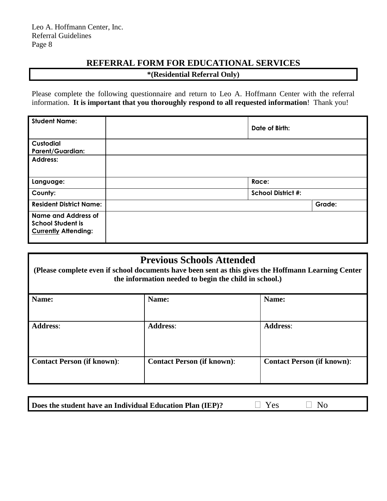# **REFERRAL FORM FOR EDUCATIONAL SERVICES**

| <i>*</i> (Residential Referral Only) |  |  |
|--------------------------------------|--|--|
|--------------------------------------|--|--|

Please complete the following questionnaire and return to Leo A. Hoffmann Center with the referral information. **It is important that you thoroughly respond to all requested information**! Thank you!

| <b>Student Name:</b>                                                           | Date of Birth:            |        |
|--------------------------------------------------------------------------------|---------------------------|--------|
| Custodial<br><b>Parent/Guardian:</b>                                           |                           |        |
| <b>Address:</b>                                                                |                           |        |
| Language:                                                                      | Race:                     |        |
| County:                                                                        | <b>School District #:</b> |        |
| <b>Resident District Name:</b>                                                 |                           | Grade: |
| Name and Address of<br><b>School Student is</b><br><b>Currently Attending:</b> |                           |        |

## **Previous Schools Attended**

**(Please complete even if school documents have been sent as this gives the Hoffmann Learning Center the information needed to begin the child in school.)**

| Name:                             | Name:                             | Name:                             |
|-----------------------------------|-----------------------------------|-----------------------------------|
| <b>Address:</b>                   | <b>Address:</b>                   | <b>Address:</b>                   |
| <b>Contact Person (if known):</b> | <b>Contact Person (if known):</b> | <b>Contact Person (if known):</b> |

| Does the student have an Individual Education Plan (IEP)? | $\Box$ Yes | $\Box$ No |  |
|-----------------------------------------------------------|------------|-----------|--|
|-----------------------------------------------------------|------------|-----------|--|